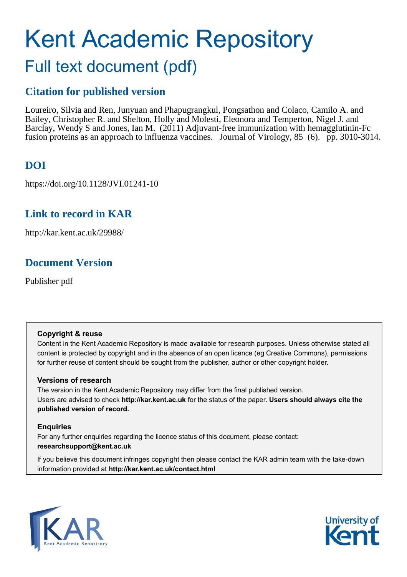# Kent Academic Repository Full text document (pdf)

## **Citation for published version**

Loureiro, Silvia and Ren, Junyuan and Phapugrangkul, Pongsathon and Colaco, Camilo A. and Bailey, Christopher R. and Shelton, Holly and Molesti, Eleonora and Temperton, Nigel J. and Barclay, Wendy S and Jones, Ian M. (2011) Adjuvant-free immunization with hemagglutinin-Fc fusion proteins as an approach to influenza vaccines. Journal of Virology, 85 (6). pp. 3010-3014.

## **DOI**

https://doi.org/10.1128/JVI.01241-10

## **Link to record in KAR**

http://kar.kent.ac.uk/29988/

## **Document Version**

Publisher pdf

### **Copyright & reuse**

Content in the Kent Academic Repository is made available for research purposes. Unless otherwise stated all content is protected by copyright and in the absence of an open licence (eg Creative Commons), permissions for further reuse of content should be sought from the publisher, author or other copyright holder.

### **Versions of research**

The version in the Kent Academic Repository may differ from the final published version. Users are advised to check **http://kar.kent.ac.uk** for the status of the paper. **Users should always cite the published version of record.**

### **Enquiries**

For any further enquiries regarding the licence status of this document, please contact: **researchsupport@kent.ac.uk**

If you believe this document infringes copyright then please contact the KAR admin team with the take-down information provided at **http://kar.kent.ac.uk/contact.html**



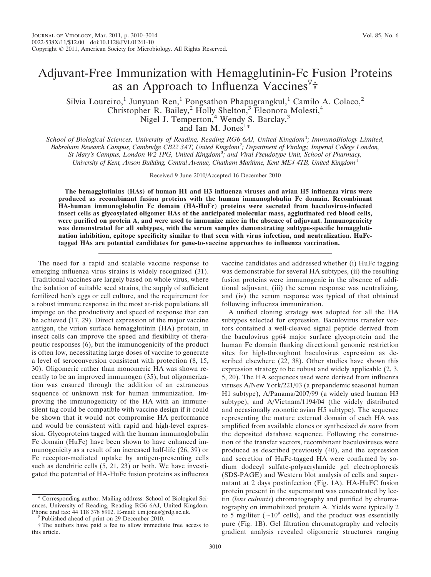## Adjuvant-Free Immunization with Hemagglutinin-Fc Fusion Proteins as an Approach to Influenza Vaccines<sup>7</sup>†

Silvia Loureiro,<sup>1</sup> Junyuan Ren,<sup>1</sup> Pongsathon Phapugrangkul,<sup>1</sup> Camilo A. Colaco,<sup>2</sup> Christopher R. Bailey,<sup>2</sup> Holly Shelton,<sup>3</sup> Eleonora Molesti,<sup>4</sup> Nigel J. Temperton,<sup>4</sup> Wendy S. Barclay,<sup>3</sup> and Ian M. Jones<sup>1\*</sup>

*School of Biological Sciences, University of Reading, Reading RG6 6AJ, United Kingdom*<sup>1</sup> *; ImmunoBiology Limited, Babraham Research Campus, Cambridge CB22 3AT, United Kingdom*<sup>2</sup> *; Department of Virology, Imperial College London, St Mary's Campus, London W2 1PG, United Kingdom*<sup>3</sup> *; and Viral Pseudotype Unit, School of Pharmacy, University of Kent, Anson Building, Central Avenue, Chatham Maritime, Kent ME4 4TB, United Kingdom*<sup>4</sup>

Received 9 June 2010/Accepted 16 December 2010

**The hemagglutinins (HAs) of human H1 and H3 influenza viruses and avian H5 influenza virus were produced as recombinant fusion proteins with the human immunoglobulin Fc domain. Recombinant HA-human immunoglobulin Fc domain (HA-HuFc) proteins were secreted from baculovirus-infected insect cells as glycosylated oligomer HAs of the anticipated molecular mass, agglutinated red blood cells, were purified on protein A, and were used to immunize mice in the absence of adjuvant. Immunogenicity was demonstrated for all subtypes, with the serum samples demonstrating subtype-specific hemagglutination inhibition, epitope specificity similar to that seen with virus infection, and neutralization. HuFctagged HAs are potential candidates for gene-to-vaccine approaches to influenza vaccination.**

The need for a rapid and scalable vaccine response to emerging influenza virus strains is widely recognized (31). Traditional vaccines are largely based on whole virus, where the isolation of suitable seed strains, the supply of sufficient fertilized hen's eggs or cell culture, and the requirement for a robust immune response in the most at-risk populations all impinge on the productivity and speed of response that can be achieved (17, 29). Direct expression of the major vaccine antigen, the virion surface hemagglutinin (HA) protein, in insect cells can improve the speed and flexibility of therapeutic responses (6), but the immunogenicity of the product is often low, necessitating large doses of vaccine to generate a level of seroconversion consistent with protection (8, 15, 30). Oligomeric rather than monomeric HA was shown recently to be an improved immunogen (35), but oligomerization was ensured through the addition of an extraneous sequence of unknown risk for human immunization. Improving the immunogenicity of the HA with an immunesilent tag could be compatible with vaccine design if it could be shown that it would not compromise HA performance and would be consistent with rapid and high-level expression. Glycoproteins tagged with the human immunoglobulin Fc domain (HuFc) have been shown to have enhanced immunogenicity as a result of an increased half-life (26, 39) or Fc receptor-mediated uptake by antigen-presenting cells such as dendritic cells  $(5, 21, 23)$  or both. We have investigated the potential of HA-HuFc fusion proteins as influenza

vaccine candidates and addressed whether (i) HuFc tagging was demonstrable for several HA subtypes, (ii) the resulting fusion proteins were immunogenic in the absence of additional adjuvant, (iii) the serum response was neutralizing, and (iv) the serum response was typical of that obtained following influenza immunization.

A unified cloning strategy was adopted for all the HA subtypes selected for expression. Baculovirus transfer vectors contained a well-cleaved signal peptide derived from the baculovirus gp64 major surface glycoprotein and the human Fc domain flanking directional genomic restriction sites for high-throughout baculovirus expression as described elsewhere (22, 38). Other studies have shown this expression strategy to be robust and widely applicable (2, 3, 5, 20). The HA sequences used were derived from influenza viruses A/New York/221/03 (a prepandemic seasonal human H1 subtype), A/Panama/2007/99 (a widely used human H3 subtype), and A/Vietnam/1194/04 (the widely distributed and occasionally zoonotic avian H5 subtype). The sequence representing the mature external domain of each HA was amplified from available clones or synthesized *de novo* from the deposited database sequence. Following the construction of the transfer vectors, recombinant baculoviruses were produced as described previously (40), and the expression and secretion of HuFc-tagged HA were confirmed by sodium dodecyl sulfate-polyacrylamide gel electrophoresis (SDS-PAGE) and Western blot analysis of cells and supernatant at 2 days postinfection (Fig. 1A). HA-HuFC fusion protein present in the supernatant was concentrated by lectin (*lens culnaris*) chromatography and purified by chromatography on immobilized protein A. Yields were typically 2 to 5 mg/liter ( $\sim$ 10<sup>9</sup> cells), and the product was essentially pure (Fig. 1B). Gel filtration chromatography and velocity gradient analysis revealed oligomeric structures ranging

<sup>\*</sup> Corresponding author. Mailing address: School of Biological Sciences, University of Reading, Reading RG6 6AJ, United Kingdom. Phone and fax: 44 118 378 8902. E-mail: i.m.jones@rdg.ac.uk.

Published ahead of print on 29 December 2010.

<sup>†</sup> The authors have paid a fee to allow immediate free access to this article.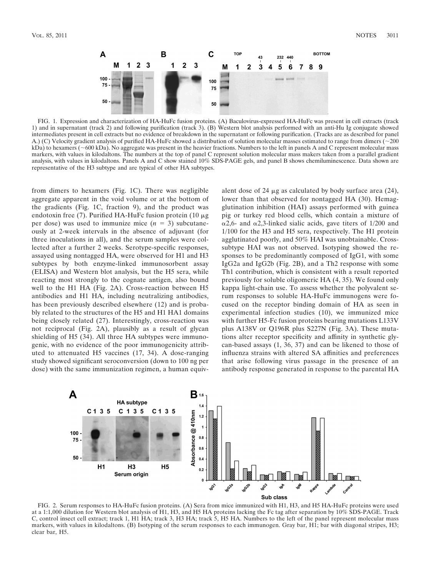

FIG. 1. Expression and characterization of HA-HuFc fusion proteins. (A) Baculovirus-expressed HA-HuFc was present in cell extracts (track 1) and in supernatant (track 2) and following purification (track 3). (B) Western blot analysis performed with an anti-Hu Ig conjugate showed intermediates present in cell extracts but no evidence of breakdown in the supernatant or following purification. (Tracks are as described for panel A.) (C) Velocity gradient analysis of purified HA-HuFc showed a distribution of solution molecular masses estimated to range from dimers (~200)  $kDa$ ) to hexamers ( $\sim 600$  kDa). No aggregate was present in the heavier fractions. Numbers to the left in panels A and C represent molecular mass markers, with values in kilodaltons. The numbers at the top of panel C represent solution molecular mass makers taken from a parallel gradient analysis, with values in kilodaltons. Panels A and C show stained 10% SDS-PAGE gels, and panel B shows chemiluminescence. Data shown are representative of the H3 subtype and are typical of other HA subtypes.

from dimers to hexamers (Fig. 1C). There was negligible aggregate apparent in the void volume or at the bottom of the gradients (Fig. 1C, fraction 9), and the product was endotoxin free (7). Purified HA-HuFc fusion protein (10  $\mu$ g per dose) was used to immunize mice  $(n = 3)$  subcutaneously at 2-week intervals in the absence of adjuvant (for three inoculations in all), and the serum samples were collected after a further 2 weeks. Serotype-specific responses, assayed using nontagged HA, were observed for H1 and H3 subtypes by both enzyme-linked immunosorbent assay (ELISA) and Western blot analysis, but the H5 sera, while reacting most strongly to the cognate antigen, also bound well to the H1 HA (Fig. 2A). Cross-reaction between H5 antibodies and H1 HA, including neutralizing antibodies, has been previously described elsewhere (12) and is probably related to the structures of the H5 and H1 HA1 domains being closely related (27). Interestingly, cross-reaction was not reciprocal (Fig. 2A), plausibly as a result of glycan shielding of H5 (34). All three HA subtypes were immunogenic, with no evidence of the poor immunogenicity attributed to attenuated H5 vaccines (17, 34). A dose-ranging study showed significant seroconversion (down to 100 ng per dose) with the same immunization regimen, a human equiv-

alent dose of 24  $\mu$ g as calculated by body surface area (24), lower than that observed for nontagged HA (30). Hemagglutination inhibition (HAI) assays performed with guinea pig or turkey red blood cells, which contain a mixture of  $\alpha$ 2,6- and  $\alpha$ 2,3-linked sialic acids, gave titers of 1/200 and 1/100 for the H3 and H5 sera, respectively. The H1 protein agglutinated poorly, and 50% HAI was unobtainable. Crosssubtype HAI was not observed. Isotyping showed the responses to be predominantly composed of IgG1, with some IgG2a and IgG2b (Fig. 2B), and a Th2 response with some Th1 contribution, which is consistent with a result reported previously for soluble oligomeric HA (4, 35). We found only kappa light-chain use. To assess whether the polyvalent serum responses to soluble HA-HuFc immunogens were focused on the receptor binding domain of HA as seen in experimental infection studies (10), we immunized mice with further H5-Fc fusion proteins bearing mutations L133V plus A138V or Q196R plus S227N (Fig. 3A). These mutations alter receptor specificity and affinity in synthetic glycan-based assays (1, 36, 37) and can be likened to those of influenza strains with altered SA affinities and preferences that arise following virus passage in the presence of an antibody response generated in response to the parental HA



FIG. 2. Serum responses to HA-HuFc fusion proteins. (A) Sera from mice immunized with H1, H3, and H5 HA-HuFc proteins were used at a 1:1,000 dilution for Western blot analysis of H1, H3, and H5 HA proteins lacking the Fc tag after separation by 10% SDS-PAGE. Track C, control insect cell extract; track 1, H1 HA; track 3, H3 HA; track 5, H5 HA. Numbers to the left of the panel represent molecular mass markers, with values in kilodaltons. (B) Isotyping of the serum responses to each immunogen. Gray bar, H1; bar with diagonal stripes, H3; clear bar, H5.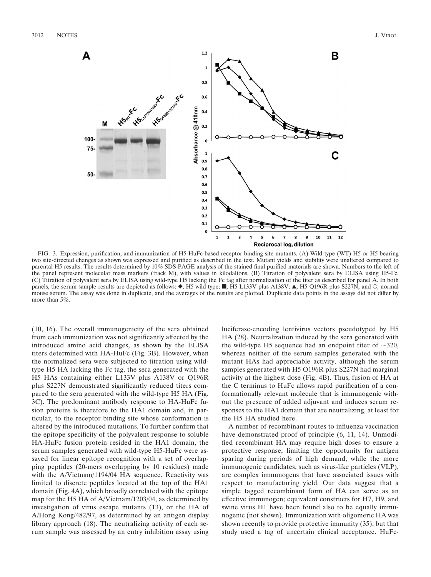

FIG. 3. Expression, purification, and immunization of H5-HuFc-based receptor binding site mutants. (A) Wild-type (WT) H5 or H5 bearing two site-directed changes as shown was expressed and purified as described in the text. Mutant yields and stability were unaltered compared to parental H5 results. The results determined by 10% SDS-PAGE analysis of the stained final purified materials are shown. Numbers to the left of the panel represent molecular mass markers (track M), with values in kilodaltons. (B) Titration of polyvalent sera by ELISA using H5-Fc. (C) Titration of polyvalent sera by ELISA using wild-type H5 lacking the Fc tag after normalization of the titer as described for panel A. In both panels, the serum sample results are depicted as follows:  $\bullet$ , H5 wild type;  $\blacksquare$ , H5 L133V plus A138V;  $\blacktriangle$ , H5 Q196R plus S227N; and  $\heartsuit$ , normal mouse serum. The assay was done in duplicate, and the averages of the results are plotted. Duplicate data points in the assays did not differ by more than 5%.

(10, 16). The overall immunogenicity of the sera obtained from each immunization was not significantly affected by the introduced amino acid changes, as shown by the ELISA titers determined with HA-HuFc (Fig. 3B). However, when the normalized sera were subjected to titration using wildtype H5 HA lacking the Fc tag, the sera generated with the H5 HAs containing either L133V plus A138V or Q196R plus S227N demonstrated significantly reduced titers compared to the sera generated with the wild-type H5 HA (Fig. 3C). The predominant antibody response to HA-HuFc fusion proteins is therefore to the HA1 domain and, in particular, to the receptor binding site whose conformation is altered by the introduced mutations. To further confirm that the epitope specificity of the polyvalent response to soluble HA-HuFc fusion protein resided in the HA1 domain, the serum samples generated with wild-type H5-HuFc were assayed for linear epitope recognition with a set of overlapping peptides (20-mers overlapping by 10 residues) made with the A/Vietnam/1194/04 HA sequence. Reactivity was limited to discrete peptides located at the top of the HA1 domain (Fig. 4A), which broadly correlated with the epitope map for the H5 HA of A/Vietnam/1203/04, as determined by investigation of virus escape mutants (13), or the HA of A/Hong Kong/482/97, as determined by an antigen display library approach (18). The neutralizing activity of each serum sample was assessed by an entry inhibition assay using luciferase-encoding lentivirus vectors pseudotyped by H5 HA (28). Neutralization induced by the sera generated with the wild-type H5 sequence had an endpoint titer of  $\sim$ 320, whereas neither of the serum samples generated with the mutant HAs had appreciable activity, although the serum samples generated with H5 Q196R plus S227N had marginal activity at the highest dose (Fig. 4B). Thus, fusion of HA at the C terminus to HuFc allows rapid purification of a conformationally relevant molecule that is immunogenic without the presence of added adjuvant and induces serum responses to the HA1 domain that are neutralizing, at least for the H5 HA studied here.

A number of recombinant routes to influenza vaccination have demonstrated proof of principle  $(6, 11, 14)$ . Unmodified recombinant HA may require high doses to ensure a protective response, limiting the opportunity for antigen sparing during periods of high demand, while the more immunogenic candidates, such as virus-like particles (VLP), are complex immunogens that have associated issues with respect to manufacturing yield. Our data suggest that a simple tagged recombinant form of HA can serve as an effective immunogen; equivalent constructs for H7, H9, and swine virus H1 have been found also to be equally immunogenic (not shown). Immunization with oligomeric HA was shown recently to provide protective immunity (35), but that study used a tag of uncertain clinical acceptance. HuFc-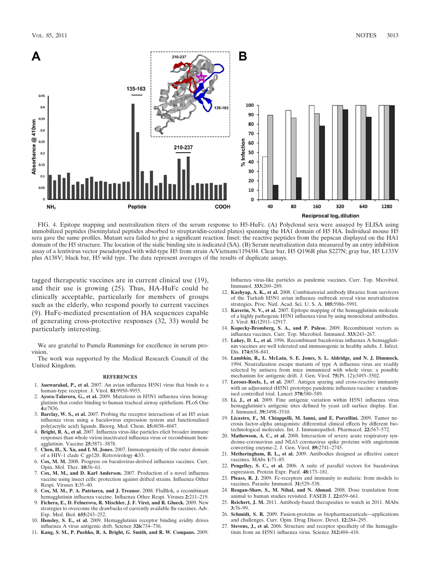

FIG. 4. Epitope mapping and neutralization titers of the serum response to H5-HuFc. (A) Polyclonal sera were assayed by ELISA using immobilized peptides (biotinylated peptides absorbed to streptavidin-coated plates) spanning the HA1 domain of H5 HA. Individual mouse H5 sera gave the same profiles. Mutant sera failed to give a significant reaction. Inset: the reactive peptides from the pepscan displayed on the HA1 domain of the H5 structure. The location of the sialic binding site is indicated (SA). (B) Serum neutralization data measured by an entry inhibition assay of a lentivirus vector pseudotyped with wild-type H5 from strain A/Vietnam/1194/04. Clear bar, H5 Q196R plus S227N; gray bar, H5 L133V plus A138V; black bar, H5 wild type. The data represent averages of the results of duplicate assays.

tagged therapeutic vaccines are in current clinical use (19), and their use is growing (25). Thus, HA-HuFc could be clinically acceptable, particularly for members of groups such as the elderly, who respond poorly to current vaccines (9). HuFc-mediated presentation of HA sequences capable of generating cross-protective responses (32, 33) would be particularly interesting.

We are grateful to Pamela Rummings for excellence in serum provision.

The work was supported by the Medical Research Council of the United Kingdom.

#### **REFERENCES**

- 1. **Auewarakul, P., et al.** 2007. An avian influenza H5N1 virus that binds to a human-type receptor. J. Virol. **81:**9950–9955.
- 2. **Ayora-Talavera, G., et al.** 2009. Mutations in H5N1 influenza virus hemagglutinin that confer binding to human tracheal airway epithelium. PLoS One **4:**e7836.
- 3. **Barclay, W. S., et al.** 2007. Probing the receptor interactions of an H5 avian influenza virus using a baculovirus expression system and functionalised poly(acrylic acid) ligands. Bioorg. Med. Chem. **15:**4038–4047.
- 4. **Bright, R. A., et al.** 2007. Influenza virus-like particles elicit broader immune responses than whole virion inactivated influenza virus or recombinant hemagglutinin. Vaccine **25:**3871–3878.
- 5. **Chen, H., X. Xu, and I. M. Jones.** 2007. Immunogenicity of the outer domain of a HIV-1 clade C gp120. Retrovirology **4:**33.
- 6. **Cox, M. M.** 2008. Progress on baculovirus-derived influenza vaccines. Curr. Opin. Mol. Ther. **10:**56–61.
- 7. **Cox, M. M., and D. Karl Anderson.** 2007. Production of a novel influenza vaccine using insect cells: protection against drifted strains. Influenza Other Respi. Viruses **1:**35–40.
- 8. **Cox, M. M., P. A. Patriarca, and J. Treanor.** 2008. FluBlok, a recombinant hemagglutinin influenza vaccine. Influenza Other Respi. Viruses **2:**211–219.
- 9. **Fichera, E., D. Felnerova, R. Mischler, J. F. Viret, and R. Glueck.** 2009. New strategies to overcome the drawbacks of currently available flu vaccines. Adv. Exp. Med. Biol. **655:**243–252.
- 10. **Hensley, S. E., et al.** 2009. Hemagglutinin receptor binding avidity drives influenza A virus antigenic drift. Science **326:**734–736.
- 11. **Kang, S. M., P. Pushko, R. A. Bright, G. Smith, and R. W. Compans.** 2009.

Influenza virus-like particles as pandemic vaccines. Curr. Top. Microbiol. Immunol. **333:**269–289.

- 12. **Kashyap, A. K., et al.** 2008. Combinatorial antibody libraries from survivors of the Turkish H5N1 avian influenza outbreak reveal virus neutralization strategies. Proc. Natl. Acad. Sci. U. S. A. **105:**5986–5991.
- 13. **Kaverin, N. V., et al.** 2007. Epitope mapping of the hemagglutinin molecule of a highly pathogenic H5N1 influenza virus by using monoclonal antibodies. J. Virol. **81:**12911–12917.
- 14. **Kopecky-Bromberg, S. A., and P. Palese.** 2009. Recombinant vectors as influenza vaccines. Curr. Top. Microbiol. Immunol. **333:**243–267.
- 15. **Lakey, D. L., et al.** 1996. Recombinant baculovirus influenza A hemagglutinin vaccines are well tolerated and immunogenic in healthy adults. J. Infect. Dis. **174:**838–841.
- 16. **Lambkin, R., L. McLain, S. E. Jones, S. L. Aldridge, and N. J. Dimmock.** 1994. Neutralization escape mutants of type A influenza virus are readily selected by antisera from mice immunized with whole virus: a possible mechanism for antigenic drift. J. Gen. Virol. **75**(Pt. 12)**:**3493–3502.
- 17. **Leroux-Roels, I., et al.** 2007. Antigen sparing and cross-reactive immunity with an adjuvanted rH5N1 prototype pandemic influenza vaccine: a randomised controlled trial. Lancet **370:**580–589.
- 18. **Li, J., et al.** 2009. Fine antigenic variation within H5N1 influenza virus hemagglutinin's antigenic sites defined by yeast cell surface display. Eur. J. Immunol. **39:**3498–3510.
- 19. **Licastro, F., M. Chiappelli, M. Ianni, and E. Porcellini.** 2009. Tumor necrosis factor-alpha antagonists: differential clinical effects by different biotechnological molecules. Int. J. Immunopathol. Pharmacol. **22:**567–572.
- 20. **Mathewson, A. C., et al.** 2008. Interaction of severe acute respiratory syndrome-coronavirus and NL63 coronavirus spike proteins with angiotensin converting enzyme-2. J. Gen. Virol. **89:**2741–2745.
- 21. **Metheringham, R. L., et al.** 2009. Antibodies designed as effective cancer vaccines. MAbs **1:**71–85.
- 22. **Pengelley, S. C., et al.** 2006. A suite of parallel vectors for baculovirus expression. Protein Expr. Purif. **48:**173–181.
- 23. **Pleass, R. J.** 2009. Fc-receptors and immunity to malaria: from models to vaccines. Parasite Immunol. **31:**529–538.
- 24. **Reagan-Shaw, S., M. Nihal, and N. Ahmad.** 2008. Dose translation from animal to human studies revisited. FASEB J. **22:**659–661.
- 25. **Reichert, J. M.** 2011. Antibody-based therapeutics to watch in 2011. MAbs **3:**76–99.
- 26. **Schmidt, S. R.** 2009. Fusion-proteins as biopharmaceuticals—applications and challenges. Curr. Opin. Drug Discov. Devel. **12:**284–295.
- 27. **Stevens, J., et al.** 2006. Structure and receptor specificity of the hemagglutinin from an H5N1 influenza virus. Science **312:**404–410.